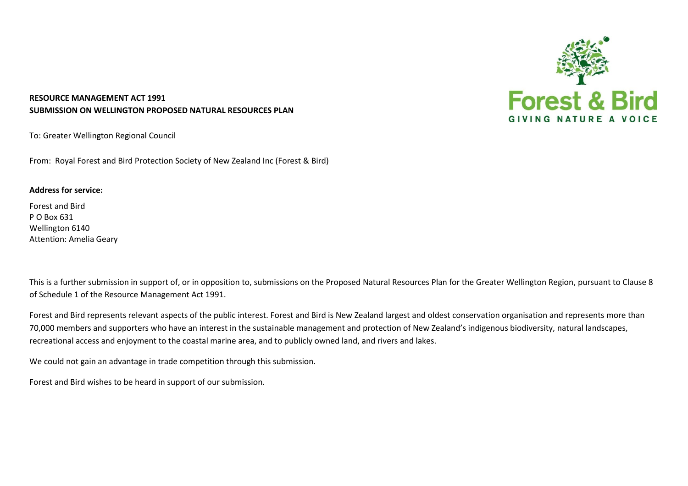

## **RESOURCE MANAGEMENT ACT 1991 SUBMISSION ON WELLINGTON PROPOSED NATURAL RESOURCES PLAN**

To: Greater Wellington Regional Council

From: Royal Forest and Bird Protection Society of New Zealand Inc (Forest & Bird)

## **Address for service:**

Forest and Bird P O Box 631 Wellington 6140 Attention: Amelia Geary

This is a further submission in support of, or in opposition to, submissions on the Proposed Natural Resources Plan for the Greater Wellington Region, pursuant to Clause 8 of Schedule 1 of the Resource Management Act 1991.

Forest and Bird represents relevant aspects of the public interest. Forest and Bird is New Zealand largest and oldest conservation organisation and represents more than 70,000 members and supporters who have an interest in the sustainable management and protection of New Zealand's indigenous biodiversity, natural landscapes, recreational access and enjoyment to the coastal marine area, and to publicly owned land, and rivers and lakes.

We could not gain an advantage in trade competition through this submission.

Forest and Bird wishes to be heard in support of our submission.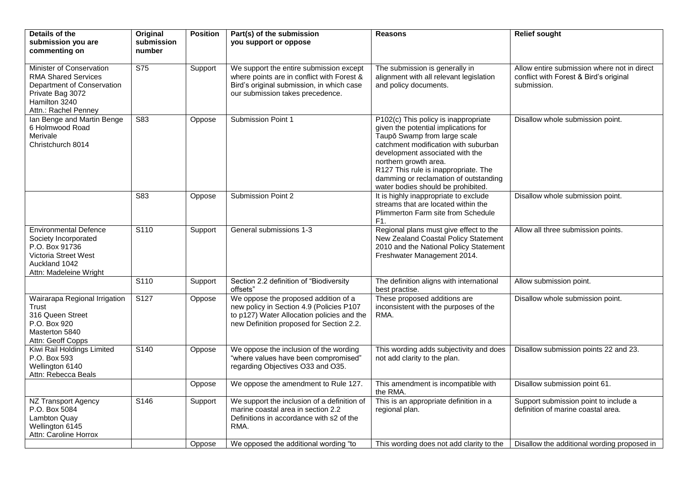| Details of the                                                                                                                                    | Original                | <b>Position</b> | Part(s) of the submission                                                                                                                                                  | <b>Reasons</b>                                                                                                                                                                                                                                                                                                                          | <b>Relief sought</b>                                                                                 |
|---------------------------------------------------------------------------------------------------------------------------------------------------|-------------------------|-----------------|----------------------------------------------------------------------------------------------------------------------------------------------------------------------------|-----------------------------------------------------------------------------------------------------------------------------------------------------------------------------------------------------------------------------------------------------------------------------------------------------------------------------------------|------------------------------------------------------------------------------------------------------|
| submission you are<br>commenting on                                                                                                               | submission<br>number    |                 | you support or oppose                                                                                                                                                      |                                                                                                                                                                                                                                                                                                                                         |                                                                                                      |
| Minister of Conservation<br><b>RMA Shared Services</b><br>Department of Conservation<br>Private Bag 3072<br>Hamilton 3240<br>Attn.: Rachel Penney | $\overline{\text{S75}}$ | Support         | We support the entire submission except<br>where points are in conflict with Forest &<br>Bird's original submission, in which case<br>our submission takes precedence.     | The submission is generally in<br>alignment with all relevant legislation<br>and policy documents.                                                                                                                                                                                                                                      | Allow entire submission where not in direct<br>conflict with Forest & Bird's original<br>submission. |
| Ian Benge and Martin Benge<br>6 Holmwood Road<br>Merivale<br>Christchurch 8014                                                                    | S83                     | Oppose          | Submission Point 1                                                                                                                                                         | P102(c) This policy is inappropriate<br>given the potential implications for<br>Taupō Swamp from large scale<br>catchment modification with suburban<br>development associated with the<br>northern growth area.<br>R127 This rule is inappropriate. The<br>damming or reclamation of outstanding<br>water bodies should be prohibited. | Disallow whole submission point.                                                                     |
|                                                                                                                                                   | S83                     | Oppose          | Submission Point 2                                                                                                                                                         | It is highly inappropriate to exclude<br>streams that are located within the<br>Plimmerton Farm site from Schedule<br>F1.                                                                                                                                                                                                               | Disallow whole submission point.                                                                     |
| <b>Environmental Defence</b><br>Society Incorporated<br>P.O. Box 91736<br>Victoria Street West<br>Auckland 1042<br>Attn: Madeleine Wright         | S110                    | Support         | General submissions 1-3                                                                                                                                                    | Regional plans must give effect to the<br>New Zealand Coastal Policy Statement<br>2010 and the National Policy Statement<br>Freshwater Management 2014.                                                                                                                                                                                 | Allow all three submission points.                                                                   |
|                                                                                                                                                   | S <sub>110</sub>        | Support         | Section 2.2 definition of "Biodiversity<br>offsets"                                                                                                                        | The definition aligns with international<br>best practise.                                                                                                                                                                                                                                                                              | Allow submission point.                                                                              |
| Wairarapa Regional Irrigation<br>Trust<br>316 Queen Street<br>P.O. Box 920<br>Masterton 5840<br>Attn: Geoff Copps                                 | S127                    | Oppose          | We oppose the proposed addition of a<br>new policy in Section 4.9 (Policies P107<br>to p127) Water Allocation policies and the<br>new Definition proposed for Section 2.2. | These proposed additions are<br>inconsistent with the purposes of the<br>RMA.                                                                                                                                                                                                                                                           | Disallow whole submission point.                                                                     |
| Kiwi Rail Holdings Limited<br>P.O. Box 593<br>Wellington 6140<br>Attn: Rebecca Beals                                                              | S140                    | Oppose          | We oppose the inclusion of the wording<br>"where values have been compromised"<br>regarding Objectives O33 and O35.                                                        | This wording adds subjectivity and does<br>not add clarity to the plan.                                                                                                                                                                                                                                                                 | Disallow submission points 22 and 23.                                                                |
|                                                                                                                                                   |                         | Oppose          | We oppose the amendment to Rule 127.                                                                                                                                       | This amendment is incompatible with<br>the RMA.                                                                                                                                                                                                                                                                                         | Disallow submission point 61.                                                                        |
| NZ Transport Agency<br>P.O. Box 5084<br><b>Lambton Quay</b><br>Wellington 6145<br>Attn: Caroline Horrox                                           | S146                    | Support         | We support the inclusion of a definition of<br>marine coastal area in section 2.2<br>Definitions in accordance with s2 of the<br>RMA.                                      | This is an appropriate definition in a<br>regional plan.                                                                                                                                                                                                                                                                                | Support submission point to include a<br>definition of marine coastal area.                          |
|                                                                                                                                                   |                         | Oppose          | We opposed the additional wording "to                                                                                                                                      | This wording does not add clarity to the                                                                                                                                                                                                                                                                                                | Disallow the additional wording proposed in                                                          |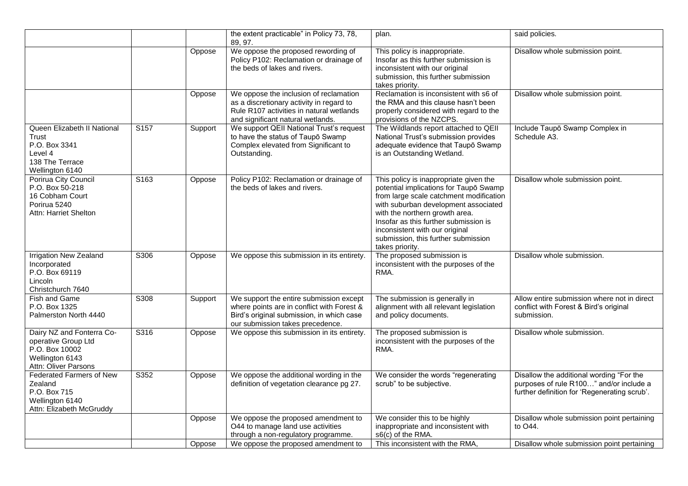|                                                                                                               |                  |         | the extent practicable" in Policy 73, 78,<br>89, 97.                                                                                                                   | plan.                                                                                                                                                                                                                                                                                                                                      | said policies.                                                                                                                      |
|---------------------------------------------------------------------------------------------------------------|------------------|---------|------------------------------------------------------------------------------------------------------------------------------------------------------------------------|--------------------------------------------------------------------------------------------------------------------------------------------------------------------------------------------------------------------------------------------------------------------------------------------------------------------------------------------|-------------------------------------------------------------------------------------------------------------------------------------|
|                                                                                                               |                  | Oppose  | We oppose the proposed rewording of<br>Policy P102: Reclamation or drainage of<br>the beds of lakes and rivers.                                                        | This policy is inappropriate.<br>Insofar as this further submission is<br>inconsistent with our original<br>submission, this further submission<br>takes priority.                                                                                                                                                                         | Disallow whole submission point.                                                                                                    |
|                                                                                                               |                  | Oppose  | We oppose the inclusion of reclamation<br>as a discretionary activity in regard to<br>Rule R107 activities in natural wetlands<br>and significant natural wetlands.    | Reclamation is inconsistent with s6 of<br>the RMA and this clause hasn't been<br>properly considered with regard to the<br>provisions of the NZCPS.                                                                                                                                                                                        | Disallow whole submission point.                                                                                                    |
| Queen Elizabeth II National<br>Trust<br>P.O. Box 3341<br>Level 4<br>138 The Terrace<br>Wellington 6140        | S <sub>157</sub> | Support | We support QEII National Trust's request<br>to have the status of Taupō Swamp<br>Complex elevated from Significant to<br>Outstanding.                                  | The Wildlands report attached to QEII<br>National Trust's submission provides<br>adequate evidence that Taupō Swamp<br>is an Outstanding Wetland.                                                                                                                                                                                          | Include Taupō Swamp Complex in<br>Schedule A3.                                                                                      |
| Porirua City Council<br>P.O. Box 50-218<br>16 Cobham Court<br>Porirua 5240<br>Attn: Harriet Shelton           | S163             | Oppose  | Policy P102: Reclamation or drainage of<br>the beds of lakes and rivers.                                                                                               | This policy is inappropriate given the<br>potential implications for Taupō Swamp<br>from large scale catchment modification<br>with suburban development associated<br>with the northern growth area.<br>Insofar as this further submission is<br>inconsistent with our original<br>submission, this further submission<br>takes priority. | Disallow whole submission point.                                                                                                    |
| Irrigation New Zealand<br>Incorporated<br>P.O. Box 69119<br>Lincoln<br>Christchurch 7640                      | S306             | Oppose  | We oppose this submission in its entirety.                                                                                                                             | The proposed submission is<br>inconsistent with the purposes of the<br>RMA.                                                                                                                                                                                                                                                                | Disallow whole submission.                                                                                                          |
| Fish and Game<br>P.O. Box 1325<br>Palmerston North 4440                                                       | S308             | Support | We support the entire submission except<br>where points are in conflict with Forest &<br>Bird's original submission, in which case<br>our submission takes precedence. | The submission is generally in<br>alignment with all relevant legislation<br>and policy documents.                                                                                                                                                                                                                                         | Allow entire submission where not in direct<br>conflict with Forest & Bird's original<br>submission.                                |
| Dairy NZ and Fonterra Co-<br>operative Group Ltd<br>P.O. Box 10002<br>Wellington 6143<br>Attn: Oliver Parsons | S316             | Oppose  | We oppose this submission in its entirety.                                                                                                                             | The proposed submission is<br>inconsistent with the purposes of the<br>RMA.                                                                                                                                                                                                                                                                | Disallow whole submission.                                                                                                          |
| <b>Federated Farmers of New</b><br>Zealand<br>P.O. Box 715<br>Wellington 6140<br>Attn: Elizabeth McGruddy     | S352             | Oppose  | We oppose the additional wording in the<br>definition of vegetation clearance pg 27.                                                                                   | We consider the words "regenerating<br>scrub" to be subjective.                                                                                                                                                                                                                                                                            | Disallow the additional wording "For the<br>purposes of rule R100" and/or include a<br>further definition for 'Regenerating scrub'. |
|                                                                                                               |                  | Oppose  | We oppose the proposed amendment to<br>O44 to manage land use activities<br>through a non-regulatory programme.                                                        | We consider this to be highly<br>inappropriate and inconsistent with<br>s6(c) of the RMA.                                                                                                                                                                                                                                                  | Disallow whole submission point pertaining<br>to O44.                                                                               |
|                                                                                                               |                  | Oppose  | We oppose the proposed amendment to                                                                                                                                    | This inconsistent with the RMA,                                                                                                                                                                                                                                                                                                            | Disallow whole submission point pertaining                                                                                          |